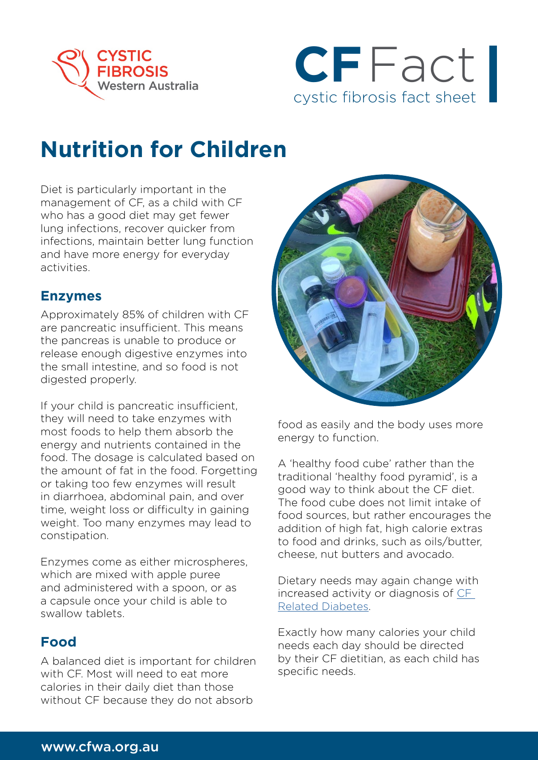



# **Nutrition for Children**

Diet is particularly important in the management of CF, as a child with CF who has a good diet may get fewer lung infections, recover quicker from infections, maintain better lung function and have more energy for everyday activities.

#### **Enzymes**

Approximately 85% of children with CF are pancreatic insufficient. This means the pancreas is unable to produce or release enough digestive enzymes into the small intestine, and so food is not digested properly.

If your child is pancreatic insufficient, they will need to take enzymes with most foods to help them absorb the energy and nutrients contained in the food. The dosage is calculated based on the amount of fat in the food. Forgetting or taking too few enzymes will result in diarrhoea, abdominal pain, and over time, weight loss or difficulty in gaining weight. Too many enzymes may lead to constipation.

Enzymes come as either microspheres, which are mixed with apple puree and administered with a spoon, or as a capsule once your child is able to swallow tablets.

#### **Food**

A balanced diet is important for children with CF. Most will need to eat more calories in their daily diet than those without CF because they do not absorb



food as easily and the body uses more energy to function.

A 'healthy food cube' rather than the traditional 'healthy food pyramid', is a good way to think about the CF diet. The food cube does not limit intake of food sources, but rather encourages the addition of high fat, high calorie extras to food and drinks, such as oils/butter, cheese, nut butters and avocado.

Dietary needs may again change with increased activity or diagnosis of [CF](https://www.cfwa.org.au/wp-content/uploads/2021/11/CFRD-2021.pdf)  [Related Diabetes.](https://www.cfwa.org.au/wp-content/uploads/2021/11/CFRD-2021.pdf)

Exactly how many calories your child needs each day should be directed by their CF dietitian, as each child has specific needs.